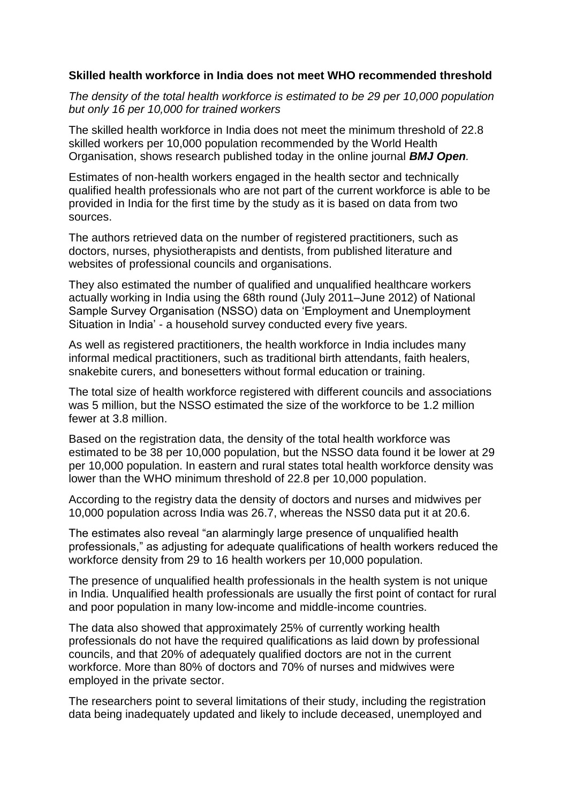## **Skilled health workforce in India does not meet WHO recommended threshold**

*The density of the total health workforce is estimated to be 29 per 10,000 population but only 16 per 10,000 for trained workers*

The skilled health workforce in India does not meet the minimum threshold of 22.8 skilled workers per 10,000 population recommended by the World Health Organisation, shows research published today in the online journal *BMJ Open.*

Estimates of non-health workers engaged in the health sector and technically qualified health professionals who are not part of the current workforce is able to be provided in India for the first time by the study as it is based on data from two sources.

The authors retrieved data on the number of registered practitioners, such as doctors, nurses, physiotherapists and dentists, from published literature and websites of professional councils and organisations.

They also estimated the number of qualified and unqualified healthcare workers actually working in India using the 68th round (July 2011–June 2012) of National Sample Survey Organisation (NSSO) data on 'Employment and Unemployment Situation in India' - a household survey conducted every five years.

As well as registered practitioners, the health workforce in India includes many informal medical practitioners, such as traditional birth attendants, faith healers, snakebite curers, and bonesetters without formal education or training.

The total size of health workforce registered with different councils and associations was 5 million, but the NSSO estimated the size of the workforce to be 1.2 million fewer at 3.8 million.

Based on the registration data, the density of the total health workforce was estimated to be 38 per 10,000 population, but the NSSO data found it be lower at 29 per 10,000 population. In eastern and rural states total health workforce density was lower than the WHO minimum threshold of 22.8 per 10,000 population.

According to the registry data the density of doctors and nurses and midwives per 10,000 population across India was 26.7, whereas the NSS0 data put it at 20.6.

The estimates also reveal "an alarmingly large presence of unqualified health professionals," as adjusting for adequate qualifications of health workers reduced the workforce density from 29 to 16 health workers per 10,000 population.

The presence of unqualified health professionals in the health system is not unique in India. Unqualified health professionals are usually the first point of contact for rural and poor population in many low-income and middle-income countries.

The data also showed that approximately 25% of currently working health professionals do not have the required qualifications as laid down by professional councils, and that 20% of adequately qualified doctors are not in the current workforce. More than 80% of doctors and 70% of nurses and midwives were employed in the private sector.

The researchers point to several limitations of their study, including the registration data being inadequately updated and likely to include deceased, unemployed and